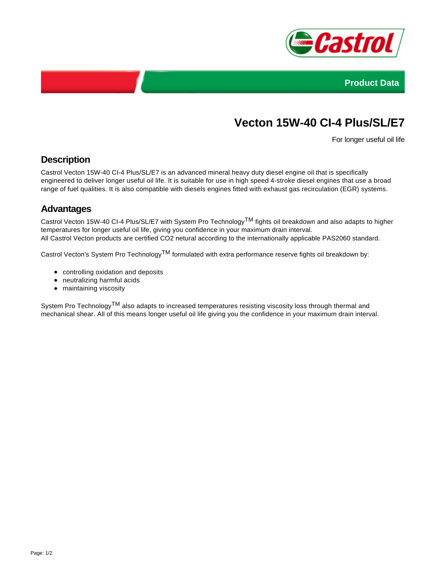



# **Vecton 15W-40 CI-4 Plus/SL/E7**

For longer useful oil life

## **Description**

Castrol Vecton 15W-40 CI-4 Plus/SL/E7 is an advanced mineral heavy duty diesel engine oil that is specifically engineered to deliver longer useful oil life. It is suitable for use in high speed 4-stroke diesel engines that use a broad range of fuel qualities. It is also compatible with diesels engines fitted with exhaust gas recirculation (EGR) systems.

### **Advantages**

Castrol Vecton 15W-40 CI-4 Plus/SL/E7 with System Pro Technology<sup>TM</sup> fights oil breakdown and also adapts to higher temperatures for longer useful oil life, giving you confidence in your maximum drain interval. All Castrol Vecton products are certified CO2 netural according to the internationally applicable PAS2060 standard.

Castrol Vecton's System Pro Technology<sup>TM</sup> formulated with extra performance reserve fights oil breakdown by:

- controlling oxidation and deposits
- neutralizing harmful acids
- maintaining viscosity

System Pro Technology<sup>TM</sup> also adapts to increased temperatures resisting viscosity loss through thermal and mechanical shear. All of this means longer useful oil life giving you the confidence in your maximum drain interval.